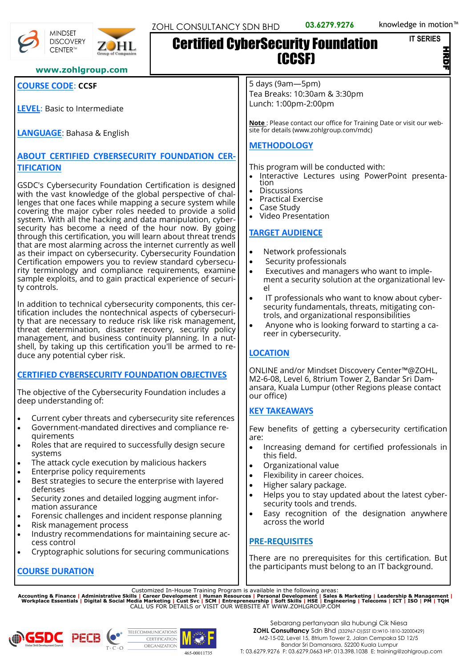#### **IT SERIES**

Z

## **www.zohlgroup.com**

## **COURSE CODE**: **CCSF**

**MINDSET DISCOVERY** CENTER™

**LEVEL**: Basic to Intermediate

**LANGUAGE**: Bahasa & English

# **ABOUT CERTIFIED CYBERSECURITY FOUNDATION CER-TIFICATION**

GSDC's Cybersecurity Foundation Certification is designed with the vast knowledge of the global perspective of challenges that one faces while mapping a secure system while covering the major cyber roles needed to provide a solid system. With all the hacking and data manipulation, cybersecurity has become a need of the hour now. By going through this certification, you will learn about threat trends that are most alarming across the internet currently as well as their impact on cybersecurity. Cybersecurity Foundation Certification empowers you to review standard cybersecurity terminology and compliance requirements, examine sample exploits, and to gain practical experience of security controls.

In addition to technical cybersecurity components, this certification includes the nontechnical aspects of cybersecurity that are necessary to reduce risk like risk management, threat determination, disaster recovery, security policy management, and business continuity planning. In a nutshell, by taking up this certification you'll be armed to reduce any potential cyber risk.

### **CERTIFIED CYBERSECURITY FOUNDATION OBJECTIVES**

The objective of the Cybersecurity Foundation includes a deep understanding of:

- Current cyber threats and cybersecurity site references
- Government-mandated directives and compliance requirements
- Roles that are required to successfully design secure systems
- The attack cycle execution by malicious hackers
- **Enterprise policy requirements**
- Best strategies to secure the enterprise with layered defenses
- Security zones and detailed logging augment information assurance
- Forensic challenges and incident response planning
- Risk management process
- Industry recommendations for maintaining secure access control
- Cryptographic solutions for securing communications

# **COURSE DURATION**

5 days (9am—5pm) Tea Breaks: 10:30am & 3:30pm Lunch: 1:00pm-2:00pm

(CCSF)

**Note** : Please contact our office for Training Date or visit our website for details (www.zohlgroup.com/mdc)

# **METHODOLOGY**

Certified CyberSecurity Foundation

This program will be conducted with:

- Interactive Lectures using PowerPoint presenta-
- tion **Discussions**
- Practical Exercise
- Case Study
- Video Presentation

# **TARGET AUDIENCE**

- Network professionals
- Security professionals
- Executives and managers who want to implement a security solution at the organizational level
- IT professionals who want to know about cybersecurity fundamentals, threats, mitigating controls, and organizational responsibilities
- Anyone who is looking forward to starting a career in cybersecurity.

# **LOCATION**

ONLINE and/or Mindset Discovery Center™@ZOHL, M2-6-08, Level 6, 8trium Tower 2, Bandar Sri Damansara, Kuala Lumpur (other Regions please contact our office)

# **KEY TAKEAWAYS**

Few benefits of getting a cybersecurity certification are:

- Increasing demand for certified professionals in this field.
- Organizational value
- Flexibility in career choices.
- Higher salary package.
- Helps you to stay updated about the latest cybersecurity tools and trends.
- Easy recognition of the designation anywhere across the world

# **PRE-REQUISITES**

There are no prerequisites for this certification. But the participants must belong to an IT background.

Customized In-House Training Program is available in the following areas:<br>Accounting & Finance | Administrative Skills | Career Development | Human Resources | Personal Development | Sales & Marketing | Leadership & Manag





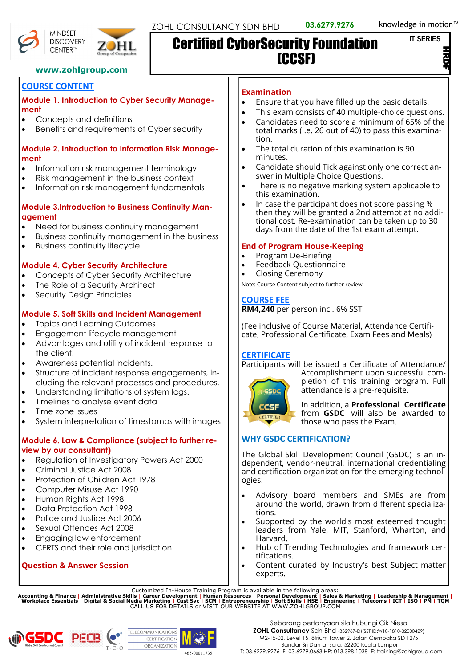マ<br>D

## **www.zohlgroup.com**

# **COURSE CONTENT**

#### **Module 1. Introduction to Cyber Security Management**

- Concepts and definitions
- Benefits and requirements of Cyber security

## **Module 2. Introduction to Information Risk Management**

- Information risk management terminology
- Risk management in the business context
- Information risk management fundamentals

## **Module 3.Introduction to Business Continuity Management**

- Need for business continuity management
- Business continuity management in the business
- Business continuity lifecycle

# **Module 4. Cyber Security Architecture**

- Concepts of Cyber Security Architecture
- The Role of a Security Architect
- Security Desian Principles

# **Module 5. Soft Skills and Incident Management**

- Topics and Learning Outcomes
- Engagement lifecycle management
- Advantages and utility of incident response to the client.
- Awareness potential incidents.
- Structure of incident response engagements, including the relevant processes and procedures.
- Understanding limitations of system logs.
- Timelines to analyse event data
- Time zone issues
- System interpretation of timestamps with images

### **Module 6. Law & Compliance (subject to further review by our consultant)**

- Regulation of Investigatory Powers Act 2000
- Criminal Justice Act 2008
- Protection of Children Act 1978
- Computer Misuse Act 1990
- Human Rights Act 1998
- Data Protection Act 1998
- Police and Justice Act 2006
- Sexual Offences Act 2008
- Engaging law enforcement
- CERTS and their role and jurisdiction

# **Question & Answer Session**

## **Examination**

- Ensure that you have filled up the basic details.
- This exam consists of 40 multiple-choice questions.
- Candidates need to score a minimum of 65% of the total marks (i.e. 26 out of 40) to pass this examination.
- The total duration of this examination is 90 minutes.
- Candidate should Tick against only one correct answer in Multiple Choice Questions.
- There is no negative marking system applicable to this examination.
- In case the participant does not score passing % then they will be granted a 2nd attempt at no additional cost. Re-examination can be taken up to 30 days from the date of the 1st exam attempt.

# **End of Program House-Keeping**

- Program De-Briefing
- Feedback Questionnaire
- Closing Ceremony

Note: Course Content subject to further review

# **COURSE FEE**

**RM4,240** per person incl. 6% SST

(Fee inclusive of Course Material, Attendance Certificate, Professional Certificate, Exam Fees and Meals)

# **CERTIFICATE**

Participants will be issued a Certificate of Attendance/



Accomplishment upon successful completion of this training program. Full attendance is a pre-requisite.

In addition, a **Professional Certificate** from **GSDC** will also be awarded to those who pass the Exam.

# **WHY GSDC CERTIFICATION?**

The Global Skill Development Council (GSDC) is an independent, vendor-neutral, international credentialing and certification organization for the emerging technologies:

- Advisory board members and SMEs are from around the world, drawn from different specializations.
- Supported by the world's most esteemed thought leaders from Yale, MIT, Stanford, Wharton, and Harvard.
- Hub of Trending Technologies and framework certifications.
- Content curated by Industry's best Subject matter experts.

Customized In-House Training Program is available in the following areas:<br>Accounting & Finance | Administrative Skills | Career Development | Human Resources | Personal Development | Sales & Marketing | Leadership & Manag











Certified CyberSecurity Foundation

(CCSF)